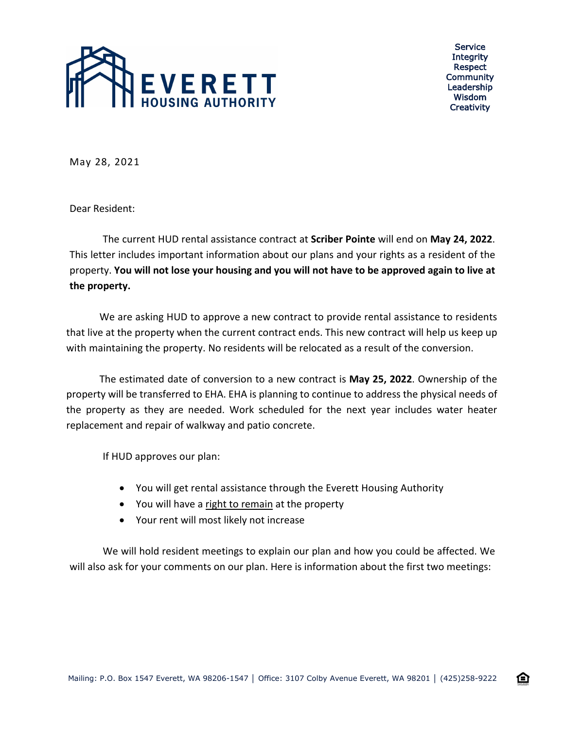

Service **Integrity** Respect Community Leadership Wisdom **Creativity** 

企

May 28, 2021

Dear Resident:

The current HUD rental assistance contract at **Scriber Pointe** will end on **May 24, 2022**. This letter includes important information about our plans and your rights as a resident of the property. **You will not lose your housing and you will not have to be approved again to live at the property.**

We are asking HUD to approve a new contract to provide rental assistance to residents that live at the property when the current contract ends. This new contract will help us keep up with maintaining the property. No residents will be relocated as a result of the conversion.

The estimated date of conversion to a new contract is **May 25, 2022**. Ownership of the property will be transferred to EHA. EHA is planning to continue to address the physical needs of the property as they are needed. Work scheduled for the next year includes water heater replacement and repair of walkway and patio concrete.

If HUD approves our plan:

- You will get rental assistance through the Everett Housing Authority
- You will have a right to remain at the property
- Your rent will most likely not increase

We will hold resident meetings to explain our plan and how you could be affected. We will also ask for your comments on our plan. Here is information about the first two meetings: